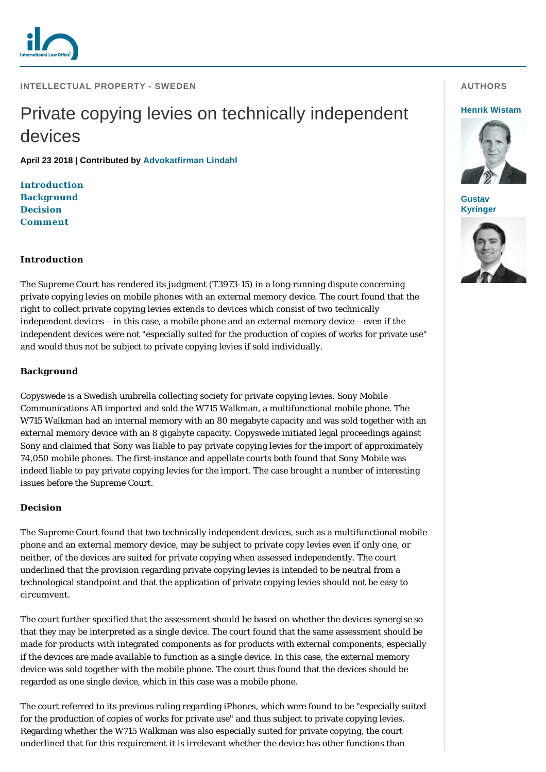

**INTELLECTUAL PROPERTY - SWEDEN** 

# Private copying levies on technically independent devices

**April 23 2018 | Contributed by [Advokatfirman Lindahl](https://www.internationallawoffice.com/gesr.ashx?l=7Z2WJ21)**

**[Introduction](#page-0-0) [Background](#page-0-1) [Decision](#page-0-2) [Comment](#page-1-0)**

## <span id="page-0-0"></span>**Introduction**

The Supreme Court has rendered its judgment (T3973-15) in a long-running dispute concerning private copying levies on mobile phones with an external memory device. The court found that the right to collect private copying levies extends to devices which consist of two technically independent devices – in this case, a mobile phone and an external memory device – even if the independent devices were not "especially suited for the production of copies of works for private use" and would thus not be subject to private copying levies if sold individually.

# <span id="page-0-1"></span>**Background**

Copyswede is a Swedish umbrella collecting society for private copying levies. Sony Mobile Communications AB imported and sold the W715 Walkman, a multifunctional mobile phone. The W715 Walkman had an internal memory with an 80 megabyte capacity and was sold together with an external memory device with an 8 gigabyte capacity. Copyswede initiated legal proceedings against Sony and claimed that Sony was liable to pay private copying levies for the import of approximately 74,050 mobile phones. The first-instance and appellate courts both found that Sony Mobile was indeed liable to pay private copying levies for the import. The case brought a number of interesting issues before the Supreme Court.

### <span id="page-0-2"></span>**Decision**

The Supreme Court found that two technically independent devices, such as a multifunctional mobile phone and an external memory device, may be subject to private copy levies even if only one, or neither, of the devices are suited for private copying when assessed independently. The court underlined that the provision regarding private copying levies is intended to be neutral from a technological standpoint and that the application of private copying levies should not be easy to circumvent.

The court further specified that the assessment should be based on whether the devices synergise so that they may be interpreted as a single device. The court found that the same assessment should be made for products with integrated components as for products with external components, especially if the devices are made available to function as a single device. In this case, the external memory device was sold together with the mobile phone. The court thus found that the devices should be regarded as one single device, which in this case was a mobile phone.

The court referred to its previous ruling regarding iPhones, which were found to be "especially suited for the production of copies of works for private use" and thus subject to private copying levies. Regarding whether the W715 Walkman was also especially suited for private copying, the court underlined that for this requirement it is irrelevant whether the device has other functions than

#### **AUTHORS**

#### **[Henrik Wistam](https://www.internationallawoffice.com/gesr.ashx?l=7Z2WJ2G)**



**Gustav [Kyringer](https://www.internationallawoffice.com/gesr.ashx?l=7Z2WJ2K)**